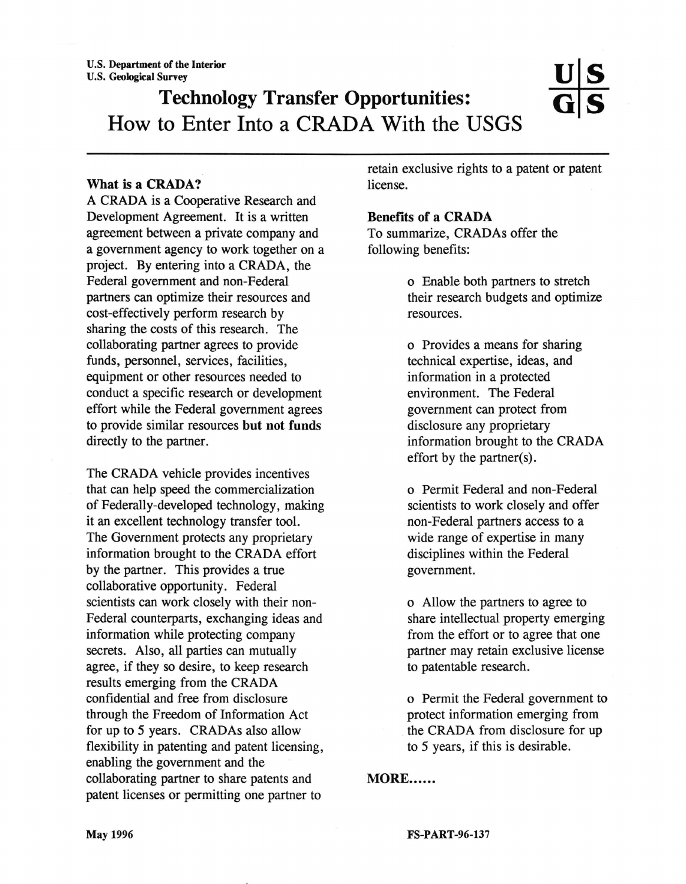# Technology Transfer Opportunities: How to Enter Into a CRADA With the USGS

### What is a CRADA?

A CRADA is a Cooperative Research and Development Agreement. It is a written agreement between a private company and a government agency to work together on a project. By entering into a CRADA, the Federal government and non-Federal partners can optimize their resources and cost-effectively perform research by sharing the costs of this research. The collaborating partner agrees to provide funds, personnel, services, facilities, equipment or other resources needed to conduct a specific research or development effort while the Federal government agrees to provide similar resources but not funds directly to the partner.

The CRADA vehicle provides incentives that can help speed the commercialization of Federally-developed technology, making it an excellent technology transfer tool. The Government protects any proprietary information brought to the CRADA effort by the partner. This provides a true collaborative opportunity. Federal scientists can work closely with their non-Federal counterparts, exchanging ideas and information while protecting company secrets. Also, all parties can mutually agree, if they so desire, to keep research results emerging from the CRADA confidential and free from disclosure through the Freedom of Information Act for up to *5* years. CRADAs also allow flexibility in patenting and patent licensing, enabling the government and the collaborating partner to share patents and patent licenses or permitting one partner to

retain exclusive rights to a patent or patent license.

#### Benefits of a CRADA

To summarize, CRADAs offer the following benefits:

> o Enable both partners to stretch their research budgets and optimize resources.

o Provides a means for sharing technical expertise, ideas, and information in a protected environment. The Federal government can protect from disclosure any proprietary information brought to the CRADA effort by the partner(s).

o Permit Federal and non-Federal scientists to work closely and offer non-Federal partners access to a wide range of expertise in many disciplines within the Federal government.

o Allow the partners to agree to share intellectual property emerging from the effort or to agree that one partner may retain exclusive license to patentable research.

o Permit the Federal government to protect information emerging from the CRADA from disclosure for up to *5* years, if this is desirable.

### MORE......